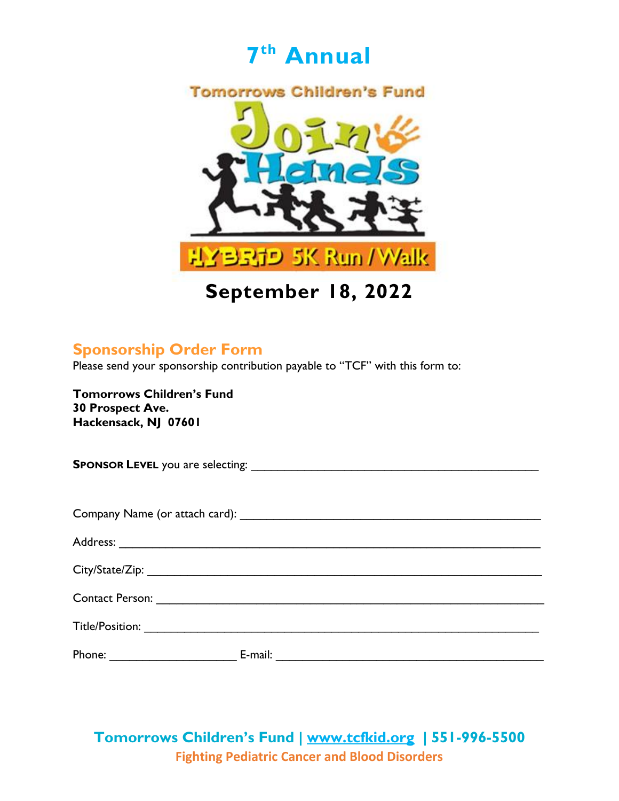

**September 18, 2022**

### **Sponsorship Order Form**

Please send your sponsorship contribution payable to "TCF" with this form to:

**Tomorrows Children's Fund 30 Prospect Ave. Hackensack, NJ 07601**

**SPONSOR LEVEL** you are selecting: \_\_\_\_\_\_\_\_\_\_\_\_\_\_\_\_\_\_\_\_\_\_\_\_\_\_\_\_\_\_\_\_\_\_\_\_\_\_\_\_\_\_\_ Company Name (or attach card): \_\_\_\_\_\_\_\_\_\_\_\_\_\_\_\_\_\_\_\_\_\_\_\_\_\_\_\_\_\_\_\_\_\_\_\_\_\_\_\_\_\_\_\_\_ Address: \_\_\_\_\_\_\_\_\_\_\_\_\_\_\_\_\_\_\_\_\_\_\_\_\_\_\_\_\_\_\_\_\_\_\_\_\_\_\_\_\_\_\_\_\_\_\_\_\_\_\_\_\_\_\_\_\_\_\_\_\_\_\_ City/State/Zip: \_\_\_\_\_\_\_\_\_\_\_\_\_\_\_\_\_\_\_\_\_\_\_\_\_\_\_\_\_\_\_\_\_\_\_\_\_\_\_\_\_\_\_\_\_\_\_\_\_\_\_\_\_\_\_\_\_\_\_ Contact Person: \_\_\_\_\_\_\_\_\_\_\_\_\_\_\_\_\_\_\_\_\_\_\_\_\_\_\_\_\_\_\_\_\_\_\_\_\_\_\_\_\_\_\_\_\_\_\_\_\_\_\_\_\_\_\_\_\_\_ Title/Position: \_\_\_\_\_\_\_\_\_\_\_\_\_\_\_\_\_\_\_\_\_\_\_\_\_\_\_\_\_\_\_\_\_\_\_\_\_\_\_\_\_\_\_\_\_\_\_\_\_\_\_\_\_\_\_\_\_\_\_ Phone: \_\_\_\_\_\_\_\_\_\_\_\_\_\_\_\_\_\_\_ E-mail: \_\_\_\_\_\_\_\_\_\_\_\_\_\_\_\_\_\_\_\_\_\_\_\_\_\_\_\_\_\_\_\_\_\_\_\_\_\_\_\_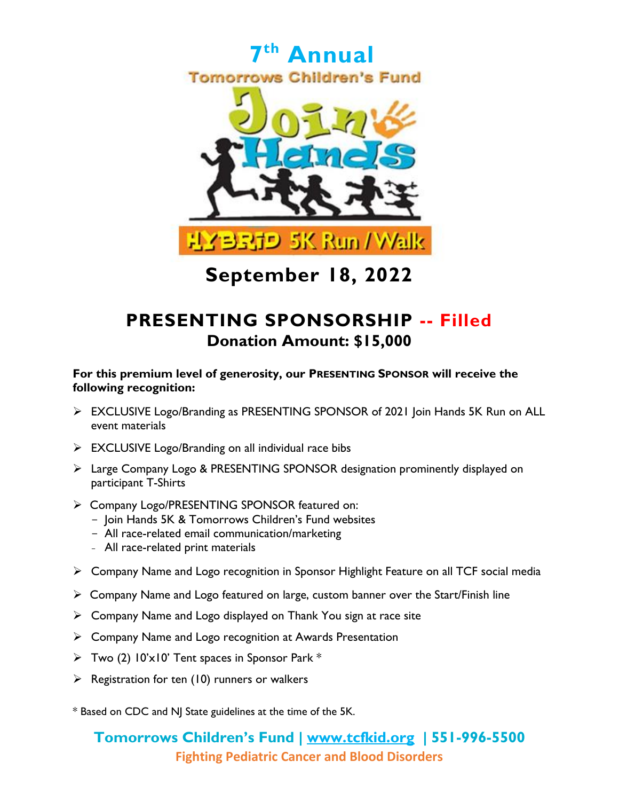

## **PRESENTING SPONSORSHIP -- Filled Donation Amount: \$15,000**

#### **For this premium level of generosity, our PRESENTING SPONSOR will receive the following recognition:**

- EXCLUSIVE Logo/Branding as PRESENTING SPONSOR of 2021 Join Hands 5K Run on ALL event materials
- $\triangleright$  EXCLUSIVE Logo/Branding on all individual race bibs
- Large Company Logo & PRESENTING SPONSOR designation prominently displayed on participant T-Shirts
- Company Logo/PRESENTING SPONSOR featured on:
	- Join Hands 5K & Tomorrows Children's Fund websites
	- All race-related email communication/marketing
	- All race-related print materials
- Company Name and Logo recognition in Sponsor Highlight Feature on all TCF social media
- $\triangleright$  Company Name and Logo featured on large, custom banner over the Start/Finish line
- $\triangleright$  Company Name and Logo displayed on Thank You sign at race site
- $\triangleright$  Company Name and Logo recognition at Awards Presentation
- $\triangleright$  Two (2)  $10' \times 10'$  Tent spaces in Sponsor Park \*
- $\triangleright$  Registration for ten (10) runners or walkers

\* Based on CDC and NJ State guidelines at the time of the 5K.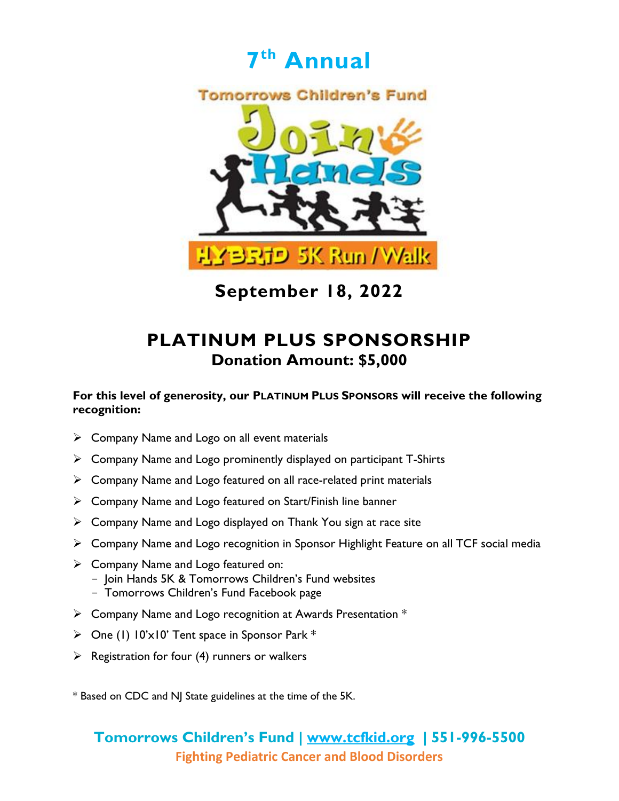



### **PLATINUM PLUS SPONSORSHIP Donation Amount: \$5,000**

#### **For this level of generosity, our PLATINUM PLUS SPONSORS will receive the following recognition:**

- $\triangleright$  Company Name and Logo on all event materials
- $\triangleright$  Company Name and Logo prominently displayed on participant T-Shirts
- $\triangleright$  Company Name and Logo featured on all race-related print materials
- Company Name and Logo featured on Start/Finish line banner
- $\triangleright$  Company Name and Logo displayed on Thank You sign at race site
- Company Name and Logo recognition in Sponsor Highlight Feature on all TCF social media
- $\triangleright$  Company Name and Logo featured on: - Join Hands 5K & Tomorrows Children's Fund websites
	- Tomorrows Children's Fund Facebook page
- $\triangleright$  Company Name and Logo recognition at Awards Presentation  $*$
- $\triangleright$  One (1) 10'x10' Tent space in Sponsor Park  $*$
- $\triangleright$  Registration for four (4) runners or walkers

\* Based on CDC and NJ State guidelines at the time of the 5K.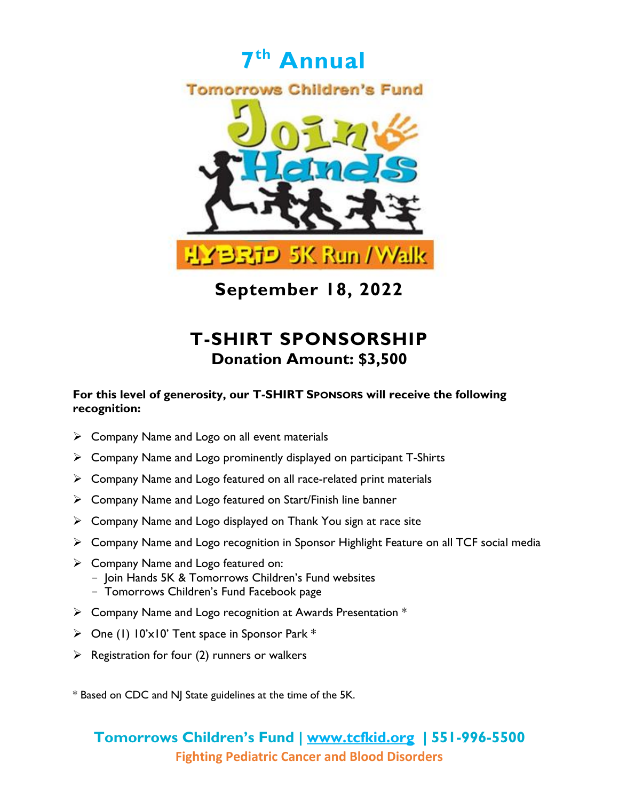

## **T-SHIRT SPONSORSHIP Donation Amount: \$3,500**

#### **For this level of generosity, our T-SHIRT SPONSORS will receive the following recognition:**

- $\triangleright$  Company Name and Logo on all event materials
- $\triangleright$  Company Name and Logo prominently displayed on participant T-Shirts
- $\triangleright$  Company Name and Logo featured on all race-related print materials
- $\triangleright$  Company Name and Logo featured on Start/Finish line banner
- $\triangleright$  Company Name and Logo displayed on Thank You sign at race site
- Company Name and Logo recognition in Sponsor Highlight Feature on all TCF social media
- $\triangleright$  Company Name and Logo featured on: - Join Hands 5K & Tomorrows Children's Fund websites
	- Tomorrows Children's Fund Facebook page
- $\triangleright$  Company Name and Logo recognition at Awards Presentation  $*$
- $\triangleright$  One (1) 10'x10' Tent space in Sponsor Park \*
- $\triangleright$  Registration for four (2) runners or walkers

\* Based on CDC and NJ State guidelines at the time of the 5K.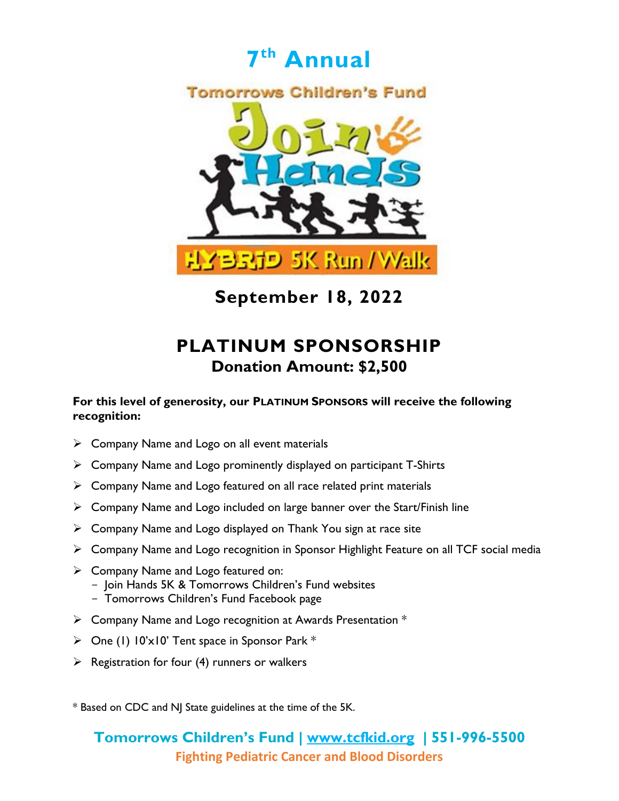

## **PLATINUM SPONSORSHIP Donation Amount: \$2,500**

#### **For this level of generosity, our PLATINUM SPONSORS will receive the following recognition:**

- $\triangleright$  Company Name and Logo on all event materials
- $\triangleright$  Company Name and Logo prominently displayed on participant T-Shirts
- $\triangleright$  Company Name and Logo featured on all race related print materials
- $\triangleright$  Company Name and Logo included on large banner over the Start/Finish line
- $\triangleright$  Company Name and Logo displayed on Thank You sign at race site
- Company Name and Logo recognition in Sponsor Highlight Feature on all TCF social media
- $\triangleright$  Company Name and Logo featured on:
	- Join Hands 5K & Tomorrows Children's Fund websites
	- Tomorrows Children's Fund Facebook page
- $\triangleright$  Company Name and Logo recognition at Awards Presentation  $*$
- $\triangleright$  One (1) 10'x10' Tent space in Sponsor Park  $*$
- $\triangleright$  Registration for four (4) runners or walkers

\* Based on CDC and NJ State guidelines at the time of the 5K.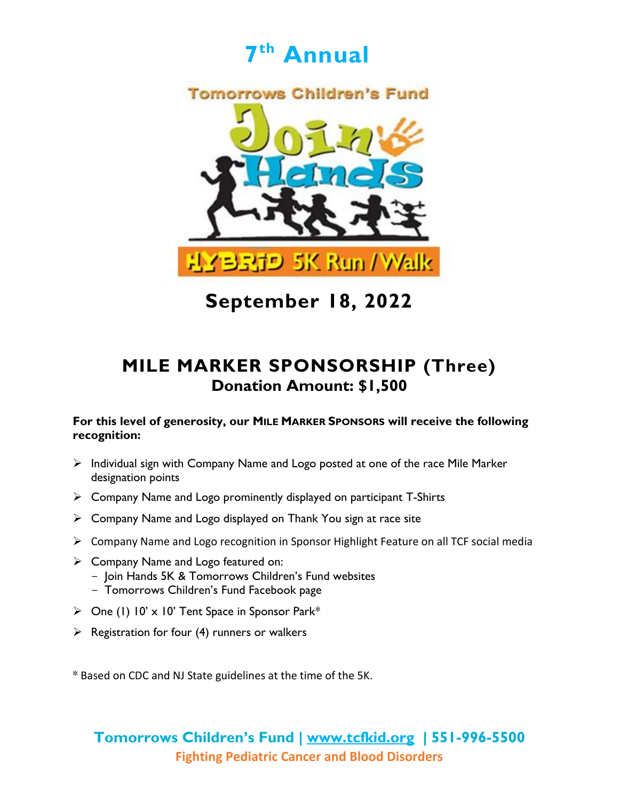



## **MILE MARKER SPONSORSHIP (Three) Donation Amount: \$1,500**

#### **For this level of generosity, our MILE MARKER SPONSORS will receive the following recognition:**

- $\triangleright$  Individual sign with Company Name and Logo posted at one of the race Mile Marker designation points
- $\triangleright$  Company Name and Logo prominently displayed on participant T-Shirts
- $\triangleright$  Company Name and Logo displayed on Thank You sign at race site
- Company Name and Logo recognition in Sponsor Highlight Feature on all TCF social media
- Company Name and Logo featured on:
	- Join Hands 5K & Tomorrows Children's Fund websites
	- Tomorrows Children's Fund Facebook page
- $\triangleright$  One (1) 10' x 10' Tent Space in Sponsor Park\*
- $\triangleright$  Registration for four (4) runners or walkers

\* Based on CDC and NJ State guidelines at the time of the 5K.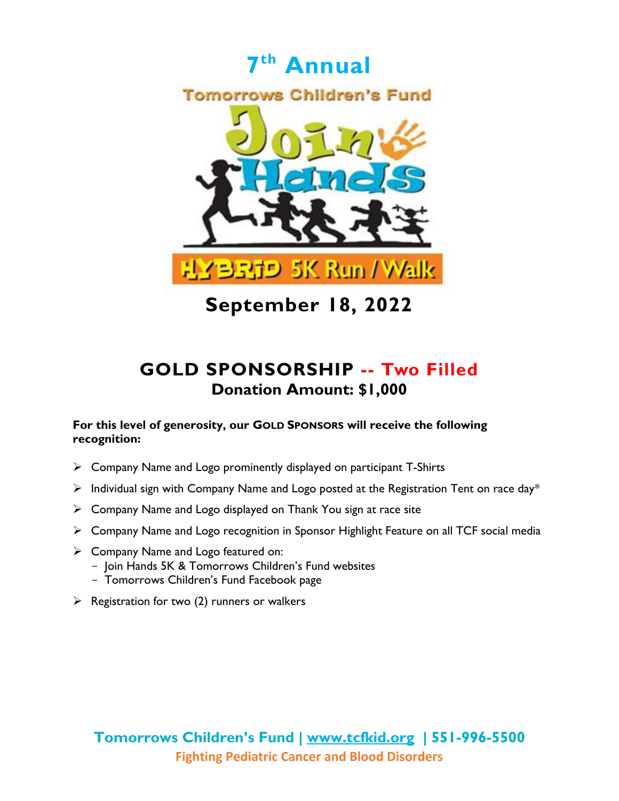

### **GOLD SPONSORSHIP -- Two Filled Donation Amount: \$1,000**

#### **For this level of generosity, our GOLD SPONSORS will receive the following recognition:**

- $\triangleright$  Company Name and Logo prominently displayed on participant T-Shirts
- $\triangleright$  Individual sign with Company Name and Logo posted at the Registration Tent on race day\*
- $\triangleright$  Company Name and Logo displayed on Thank You sign at race site
- Company Name and Logo recognition in Sponsor Highlight Feature on all TCF social media
- $\triangleright$  Company Name and Logo featured on:
	- Join Hands 5K & Tomorrows Children's Fund websites
	- Tomorrows Children's Fund Facebook page
- $\triangleright$  Registration for two (2) runners or walkers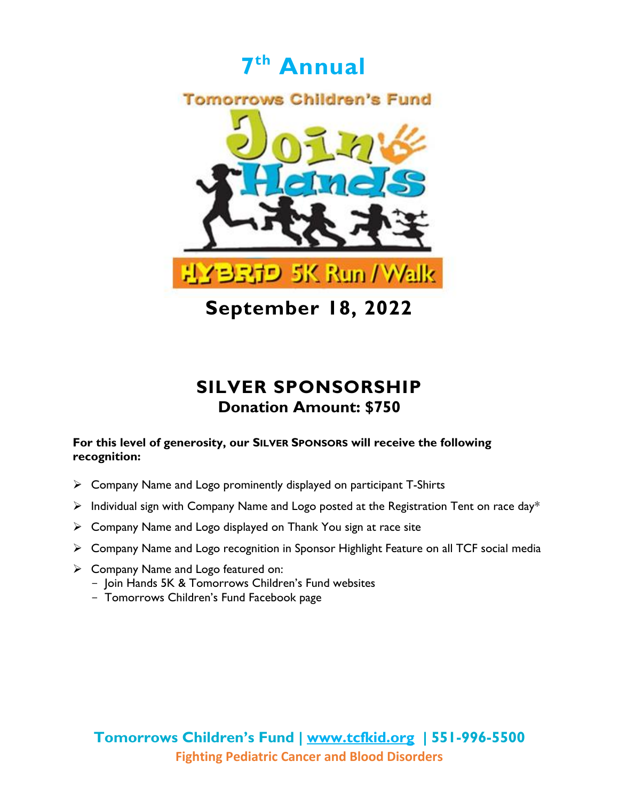

**September 18, 2022**

## **SILVER SPONSORSHIP Donation Amount: \$750**

#### **For this level of generosity, our SILVER SPONSORS will receive the following recognition:**

- Company Name and Logo prominently displayed on participant T-Shirts
- $\triangleright$  Individual sign with Company Name and Logo posted at the Registration Tent on race day\*
- $\triangleright$  Company Name and Logo displayed on Thank You sign at race site
- Company Name and Logo recognition in Sponsor Highlight Feature on all TCF social media
- $\triangleright$  Company Name and Logo featured on:
	- Join Hands 5K & Tomorrows Children's Fund websites
	- Tomorrows Children's Fund Facebook page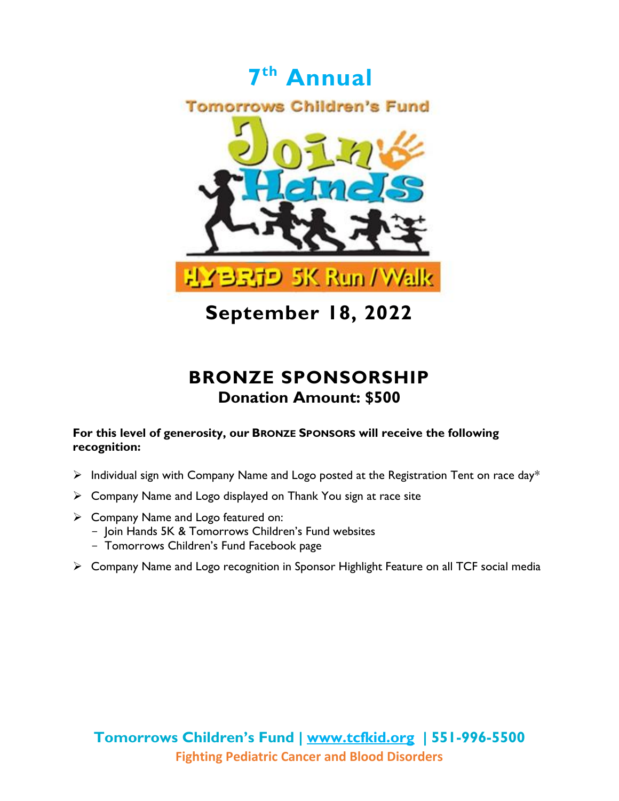

### **BRONZE SPONSORSHIP Donation Amount: \$500**

#### **For this level of generosity, our BRONZE SPONSORS will receive the following recognition:**

- $\triangleright$  Individual sign with Company Name and Logo posted at the Registration Tent on race day\*
- $\triangleright$  Company Name and Logo displayed on Thank You sign at race site
- $\triangleright$  Company Name and Logo featured on:
	- Join Hands 5K & Tomorrows Children's Fund websites
	- Tomorrows Children's Fund Facebook page
- Company Name and Logo recognition in Sponsor Highlight Feature on all TCF social media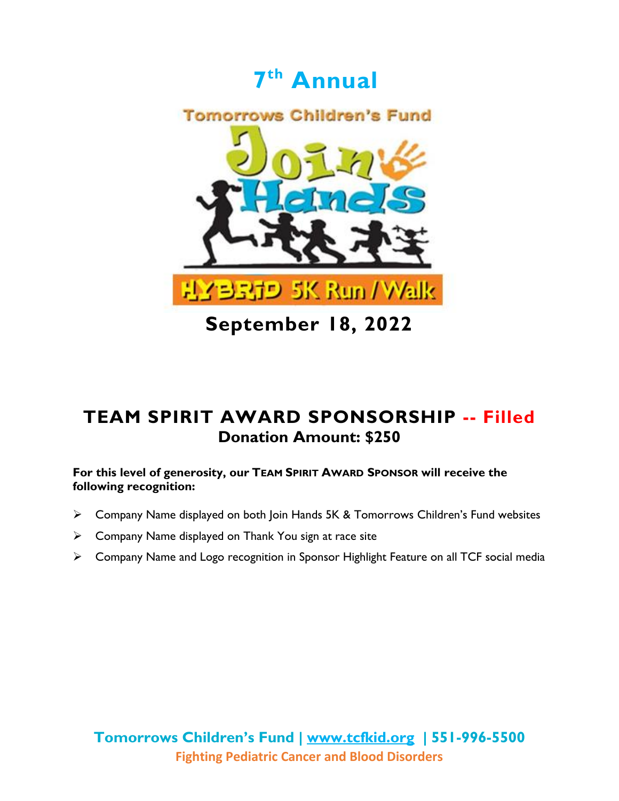

**September 18, 2022**

### **TEAM SPIRIT AWARD SPONSORSHIP -- Filled Donation Amount: \$250**

**For this level of generosity, our TEAM SPIRIT AWARD SPONSOR will receive the following recognition:**

- Company Name displayed on both Join Hands 5K & Tomorrows Children's Fund websites
- $\triangleright$  Company Name displayed on Thank You sign at race site
- Company Name and Logo recognition in Sponsor Highlight Feature on all TCF social media